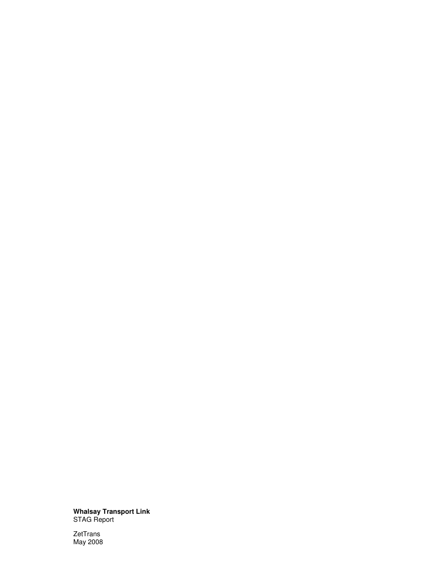**Whalsay Transport Link**  STAG Report

ZetTrans May 2008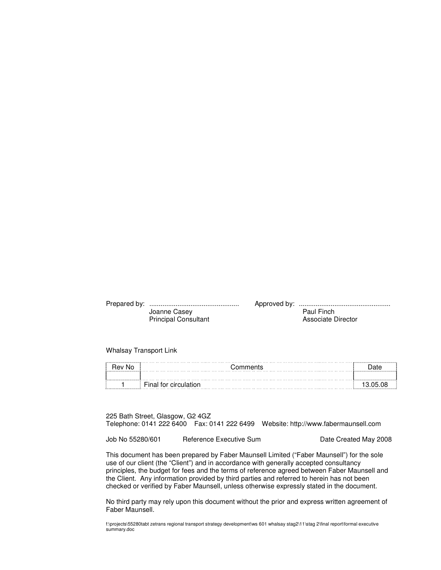| Joanne Casey                | Paul Finch         |
|-----------------------------|--------------------|
| <b>Principal Consultant</b> | Associate Director |

Whalsay Transport Link

| .No<br>⊀ev | ments                   |  |  |
|------------|-------------------------|--|--|
|            |                         |  |  |
|            | tor circulati.<br>Final |  |  |

225 Bath Street, Glasgow, G2 4GZ Telephone: 0141 222 6400 Fax: 0141 222 6499 Website: http://www.fabermaunsell.com

Job No 55280/601 Reference Executive Sum Date Created May 2008

This document has been prepared by Faber Maunsell Limited ("Faber Maunsell") for the sole use of our client (the "Client") and in accordance with generally accepted consultancy principles, the budget for fees and the terms of reference agreed between Faber Maunsell and the Client. Any information provided by third parties and referred to herein has not been checked or verified by Faber Maunsell, unless otherwise expressly stated in the document.

No third party may rely upon this document without the prior and express written agreement of Faber Maunsell.

f:\projects\55280tabt zetrans regional transport strategy development\ws 601 whalsay stag2\11\stag 2\final report\formal executive summary.doc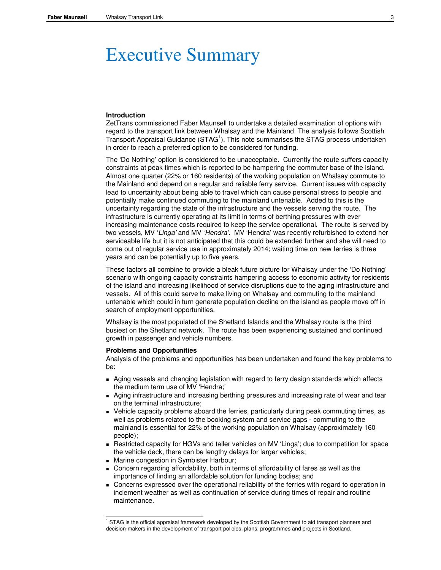# Executive Summary

## **Introduction**

ZetTrans commissioned Faber Maunsell to undertake a detailed examination of options with regard to the transport link between Whalsay and the Mainland. The analysis follows Scottish Transport Appraisal Guidance (STAG<sup>1</sup>). This note summarises the STAG process undertaken in order to reach a preferred option to be considered for funding.

The 'Do Nothing' option is considered to be unacceptable. Currently the route suffers capacity constraints at peak times which is reported to be hampering the commuter base of the island. Almost one quarter (22% or 160 residents) of the working population on Whalsay commute to the Mainland and depend on a regular and reliable ferry service. Current issues with capacity lead to uncertainty about being able to travel which can cause personal stress to people and potentially make continued commuting to the mainland untenable. Added to this is the uncertainty regarding the state of the infrastructure and the vessels serving the route. The infrastructure is currently operating at its limit in terms of berthing pressures with ever increasing maintenance costs required to keep the service operational. The route is served by two vessels, MV 'Linga' and MV 'Hendra'. MV 'Hendra' was recently refurbished to extend her serviceable life but it is not anticipated that this could be extended further and she will need to come out of regular service use in approximately 2014; waiting time on new ferries is three years and can be potentially up to five years.

These factors all combine to provide a bleak future picture for Whalsay under the 'Do Nothing' scenario with ongoing capacity constraints hampering access to economic activity for residents of the island and increasing likelihood of service disruptions due to the aging infrastructure and vessels. All of this could serve to make living on Whalsay and commuting to the mainland untenable which could in turn generate population decline on the island as people move off in search of employment opportunities.

Whalsay is the most populated of the Shetland Islands and the Whalsay route is the third busiest on the Shetland network. The route has been experiencing sustained and continued growth in passenger and vehicle numbers.

#### **Problems and Opportunities**

Analysis of the problems and opportunities has been undertaken and found the key problems to be:

- Aging vessels and changing legislation with regard to ferry design standards which affects the medium term use of MV 'Hendra;'
- Aging infrastructure and increasing berthing pressures and increasing rate of wear and tear on the terminal infrastructure;
- Vehicle capacity problems aboard the ferries, particularly during peak commuting times, as well as problems related to the booking system and service gaps - commuting to the mainland is essential for 22% of the working population on Whalsay (approximately 160 people);
- Restricted capacity for HGVs and taller vehicles on MV 'Linga'; due to competition for space the vehicle deck, there can be lengthy delays for larger vehicles;
- **Marine congestion in Symbister Harbour;**
- Concern regarding affordability, both in terms of affordability of fares as well as the importance of finding an affordable solution for funding bodies; and
- Concerns expressed over the operational reliability of the ferries with regard to operation in inclement weather as well as continuation of service during times of repair and routine maintenance.

 1 STAG is the official appraisal framework developed by the Scottish Government to aid transport planners and decision-makers in the development of transport policies, plans, programmes and projects in Scotland.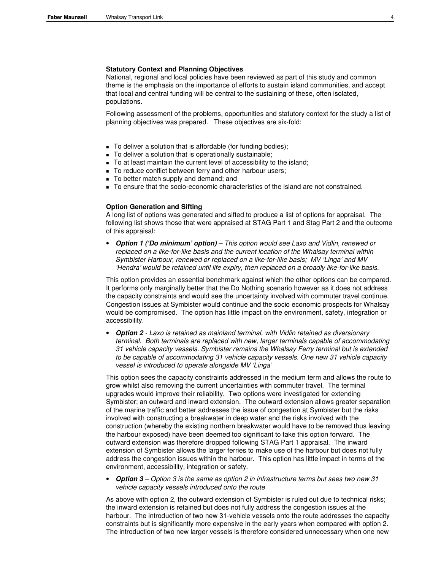## **Statutory Context and Planning Objectives**

National, regional and local policies have been reviewed as part of this study and common theme is the emphasis on the importance of efforts to sustain island communities, and accept that local and central funding will be central to the sustaining of these, often isolated, populations.

Following assessment of the problems, opportunities and statutory context for the study a list of planning objectives was prepared. These objectives are six-fold:

- To deliver a solution that is affordable (for funding bodies);
- To deliver a solution that is operationally sustainable;
- To at least maintain the current level of accessibility to the island;
- To reduce conflict between ferry and other harbour users;
- To better match supply and demand; and
- To ensure that the socio-economic characteristics of the island are not constrained.

#### **Option Generation and Sifting**

A long list of options was generated and sifted to produce a list of options for appraisal. The following list shows those that were appraised at STAG Part 1 and Stag Part 2 and the outcome of this appraisal:

• **Option 1 ('Do minimum' option)** – This option would see Laxo and Vidlin, renewed or replaced on a like-for-like basis and the current location of the Whalsay terminal within Symbister Harbour, renewed or replaced on a like-for-like basis; MV 'Linga' and MV 'Hendra' would be retained until life expiry, then replaced on a broadly like-for-like basis.

This option provides an essential benchmark against which the other options can be compared. It performs only marginally better that the Do Nothing scenario however as it does not address the capacity constraints and would see the uncertainty involved with commuter travel continue. Congestion issues at Symbister would continue and the socio economic prospects for Whalsay would be compromised. The option has little impact on the environment, safety, integration or accessibility.

• **Option 2** - Laxo is retained as mainland terminal, with Vidlin retained as diversionary terminal. Both terminals are replaced with new, larger terminals capable of accommodating 31 vehicle capacity vessels. Symbister remains the Whalsay Ferry terminal but is extended to be capable of accommodating 31 vehicle capacity vessels. One new 31 vehicle capacity vessel is introduced to operate alongside MV 'Linga'

This option sees the capacity constraints addressed in the medium term and allows the route to grow whilst also removing the current uncertainties with commuter travel. The terminal upgrades would improve their reliability. Two options were investigated for extending Symbister; an outward and inward extension. The outward extension allows greater separation of the marine traffic and better addresses the issue of congestion at Symbister but the risks involved with constructing a breakwater in deep water and the risks involved with the construction (whereby the existing northern breakwater would have to be removed thus leaving the harbour exposed) have been deemed too significant to take this option forward. The outward extension was therefore dropped following STAG Part 1 appraisal. The inward extension of Symbister allows the larger ferries to make use of the harbour but does not fully address the congestion issues within the harbour. This option has little impact in terms of the environment, accessibility, integration or safety.

• **Option 3** – Option 3 is the same as option 2 in infrastructure terms but sees two new 31 vehicle capacity vessels introduced onto the route

As above with option 2, the outward extension of Symbister is ruled out due to technical risks; the inward extension is retained but does not fully address the congestion issues at the harbour. The introduction of two new 31-vehicle vessels onto the route addresses the capacity constraints but is significantly more expensive in the early years when compared with option 2. The introduction of two new larger vessels is therefore considered unnecessary when one new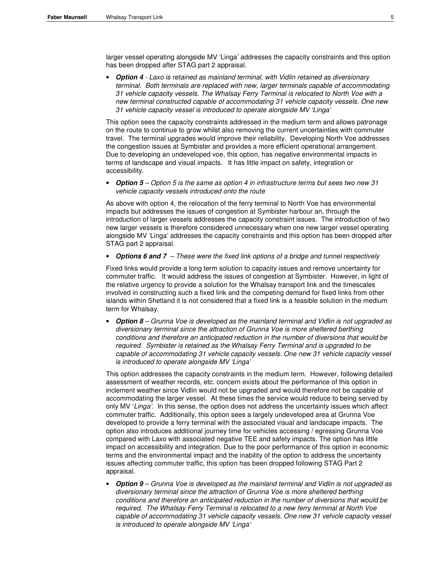larger vessel operating alongside MV 'Linga' addresses the capacity constraints and this option has been dropped after STAG part 2 appraisal.

• **Option 4** - Laxo is retained as mainland terminal, with Vidlin retained as diversionary terminal. Both terminals are replaced with new, larger terminals capable of accommodating 31 vehicle capacity vessels. The Whalsay Ferry Terminal is relocated to North Voe with a new terminal constructed capable of accommodating 31 vehicle capacity vessels. One new 31 vehicle capacity vessel is introduced to operate alongside MV 'Linga'

This option sees the capacity constraints addressed in the medium term and allows patronage on the route to continue to grow whilst also removing the current uncertainties with commuter travel. The terminal upgrades would improve their reliability. Developing North Voe addresses the congestion issues at Symbister and provides a more efficient operational arrangement. Due to developing an undeveloped voe, this option, has negative environmental impacts in terms of landscape and visual impacts. It has little impact on safety, integration or accessibility.

• **Option 5** – Option 5 is the same as option 4 in infrastructure terms but sees two new 31 vehicle capacity vessels introduced onto the route

As above with option 4, the relocation of the ferry terminal to North Voe has environmental impacts but addresses the issues of congestion at Symbister harbour an, through the introduction of larger vessels addresses the capacity constraint issues. The introduction of two new larger vessels is therefore considered unnecessary when one new larger vessel operating alongside MV 'Linga' addresses the capacity constraints and this option has been dropped after STAG part 2 appraisal.

• **Options 6 and 7** – These were the fixed link options of a bridge and tunnel respectively

Fixed links would provide a long term solution to capacity issues and remove uncertainty for commuter traffic. It would address the issues of congestion at Symbister. However, in light of the relative urgency to provide a solution for the Whalsay transport link and the timescales involved in constructing such a fixed link and the competing demand for fixed links from other islands within Shetland it is not considered that a fixed link is a feasible solution in the medium term for Whalsay.

• **Option 8** – Grunna Voe is developed as the mainland terminal and Vidlin is not upgraded as diversionary terminal since the attraction of Grunna Voe is more sheltered berthing conditions and therefore an anticipated reduction in the number of diversions that would be required. Symbister is retained as the Whalsay Ferry Terminal and is upgraded to be capable of accommodating 31 vehicle capacity vessels. One new 31 vehicle capacity vessel is introduced to operate alongside MV 'Linga'

This option addresses the capacity constraints in the medium term. However, following detailed assessment of weather records, etc. concern exists about the performance of this option in inclement weather since Vidlin would not be upgraded and would therefore not be capable of accommodating the larger vessel. At these times the service would reduce to being served by only MV 'Linga'. In this sense, the option does not address the uncertainty issues which affect commuter traffic. Additionally, this option sees a largely undeveloped area at Grunna Voe developed to provide a ferry terminal with the associated visual and landscape impacts. The option also introduces additional journey time for vehicles accessing / egressing Grunna Voe compared with Laxo with associated negative TEE and safety impacts. The option has little impact on accessibility and integration. Due to the poor performance of this option in economic terms and the environmental impact and the inability of the option to address the uncertainty issues affecting commuter traffic, this option has been dropped following STAG Part 2 appraisal.

• **Option 9** – Grunna Voe is developed as the mainland terminal and Vidlin is not upgraded as diversionary terminal since the attraction of Grunna Voe is more sheltered berthing conditions and therefore an anticipated reduction in the number of diversions that would be required. The Whalsay Ferry Terminal is relocated to a new ferry terminal at North Voe capable of accommodating 31 vehicle capacity vessels. One new 31 vehicle capacity vessel is introduced to operate alongside MV 'Linga'